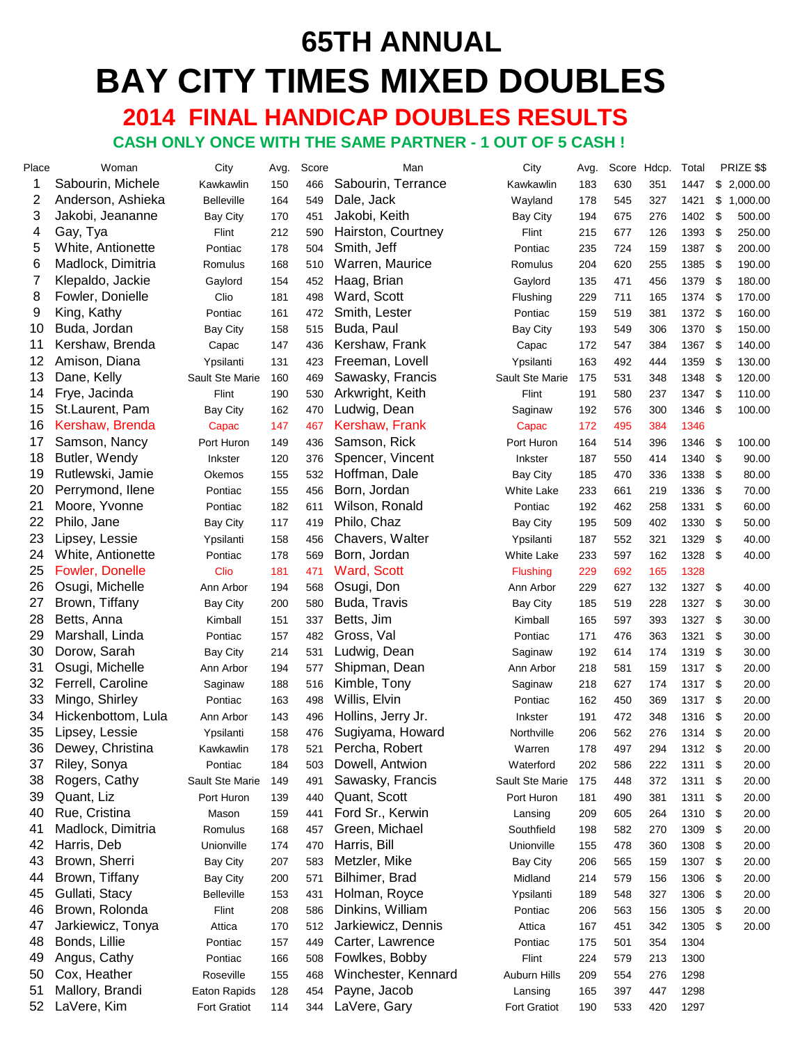# **65TH ANNUAL BAY CITY TIMES MIXED DOUBLES**

 **2014 FINAL HANDICAP DOUBLES RESULTS CASH ONLY ONCE WITH THE SAME PARTNER - 1 OUT OF 5 CASH !**

| Place          | Woman                  | City                | Avg. | Score | Man                 | City              | Avg. | Score Hdcp. |     | Total |     | PRIZE \$\$ |
|----------------|------------------------|---------------------|------|-------|---------------------|-------------------|------|-------------|-----|-------|-----|------------|
| 1              | Sabourin, Michele      | Kawkawlin           | 150  | 466   | Sabourin, Terrance  | Kawkawlin         | 183  | 630         | 351 | 1447  | \$  | 2,000.00   |
| $\overline{2}$ | Anderson, Ashieka      | <b>Belleville</b>   | 164  | 549   | Dale, Jack          | Wayland           | 178  | 545         | 327 | 1421  | \$  | 1,000.00   |
| 3              | Jakobi, Jeananne       | <b>Bay City</b>     | 170  | 451   | Jakobi, Keith       | <b>Bay City</b>   | 194  | 675         | 276 | 1402  | \$  | 500.00     |
| 4              | Gay, Tya               | Flint               | 212  | 590   | Hairston, Courtney  | Flint             | 215  | 677         | 126 | 1393  | \$  | 250.00     |
| 5              | White, Antionette      | Pontiac             | 178  | 504   | Smith, Jeff         | Pontiac           | 235  | 724         | 159 | 1387  | \$  | 200.00     |
| 6              | Madlock, Dimitria      | Romulus             | 168  | 510   | Warren, Maurice     | Romulus           | 204  | 620         | 255 | 1385  | \$  | 190.00     |
| 7              | Klepaldo, Jackie       | Gaylord             | 154  | 452   | Haag, Brian         | Gaylord           | 135  | 471         | 456 | 1379  | \$  | 180.00     |
| 8              | Fowler, Donielle       | Clio                | 181  | 498   | Ward, Scott         | Flushing          | 229  | 711         | 165 | 1374  | \$  | 170.00     |
| 9              | King, Kathy            | Pontiac             | 161  | 472   | Smith, Lester       | Pontiac           | 159  | 519         | 381 | 1372  | \$  | 160.00     |
| 10             | Buda, Jordan           | <b>Bay City</b>     | 158  | 515   | Buda, Paul          | <b>Bay City</b>   | 193  | 549         | 306 | 1370  | \$  | 150.00     |
| 11             | Kershaw, Brenda        | Capac               | 147  | 436   | Kershaw, Frank      | Capac             | 172  | 547         | 384 | 1367  | \$  | 140.00     |
| 12             | Amison, Diana          | Ypsilanti           | 131  | 423   | Freeman, Lovell     | Ypsilanti         | 163  | 492         | 444 | 1359  | \$  | 130.00     |
| 13             | Dane, Kelly            | Sault Ste Marie     | 160  | 469   | Sawasky, Francis    | Sault Ste Marie   | 175  | 531         | 348 | 1348  | \$  | 120.00     |
| 14             | Frye, Jacinda          | Flint               | 190  | 530   | Arkwright, Keith    | Flint             | 191  | 580         | 237 | 1347  | \$  | 110.00     |
| 15             | St.Laurent, Pam        | <b>Bay City</b>     | 162  | 470   | Ludwig, Dean        | Saginaw           | 192  | 576         | 300 | 1346  | \$  | 100.00     |
| 16             | Kershaw, Brenda        | Capac               | 147  | 467   | Kershaw, Frank      | Capac             | 172  | 495         | 384 | 1346  |     |            |
| 17             | Samson, Nancy          | Port Huron          | 149  | 436   | Samson, Rick        | Port Huron        | 164  | 514         | 396 | 1346  | \$  | 100.00     |
| 18             | Butler, Wendy          | Inkster             | 120  | 376   | Spencer, Vincent    | <b>Inkster</b>    | 187  | 550         | 414 | 1340  | \$  | 90.00      |
| 19             | Rutlewski, Jamie       | Okemos              | 155  | 532   | Hoffman, Dale       | <b>Bay City</b>   | 185  | 470         | 336 | 1338  | \$  | 80.00      |
| 20             | Perrymond, Ilene       | Pontiac             | 155  | 456   | Born, Jordan        | <b>White Lake</b> | 233  | 661         | 219 | 1336  | \$  | 70.00      |
| 21             | Moore, Yvonne          | Pontiac             | 182  | 611   | Wilson, Ronald      | Pontiac           | 192  | 462         | 258 | 1331  | \$  | 60.00      |
| 22             | Philo, Jane            | <b>Bay City</b>     | 117  | 419   | Philo, Chaz         | <b>Bay City</b>   | 195  | 509         | 402 | 1330  | \$  | 50.00      |
| 23             | Lipsey, Lessie         | Ypsilanti           | 158  | 456   | Chavers, Walter     | Ypsilanti         | 187  | 552         | 321 | 1329  | \$  | 40.00      |
| 24             | White, Antionette      | Pontiac             | 178  | 569   | Born, Jordan        | White Lake        | 233  | 597         | 162 | 1328  | \$  | 40.00      |
| 25             | <b>Fowler, Donelle</b> | Clio                | 181  | 471   | Ward, Scott         | <b>Flushing</b>   | 229  | 692         | 165 | 1328  |     |            |
| 26             | Osugi, Michelle        | Ann Arbor           | 194  | 568   | Osugi, Don          | Ann Arbor         | 229  | 627         | 132 | 1327  | \$  | 40.00      |
| 27             | Brown, Tiffany         | <b>Bay City</b>     | 200  | 580   | Buda, Travis        | <b>Bay City</b>   | 185  | 519         | 228 | 1327  | \$  | 30.00      |
| 28             | Betts, Anna            | Kimball             | 151  | 337   | Betts, Jim          | Kimball           | 165  | 597         | 393 | 1327  | \$  | 30.00      |
| 29             | Marshall, Linda        | Pontiac             | 157  | 482   | Gross, Val          | Pontiac           | 171  | 476         | 363 | 1321  | \$  | 30.00      |
| 30             | Dorow, Sarah           | <b>Bay City</b>     | 214  | 531   | Ludwig, Dean        | Saginaw           | 192  | 614         | 174 | 1319  | \$  | 30.00      |
| 31             | Osugi, Michelle        | Ann Arbor           | 194  | 577   | Shipman, Dean       | Ann Arbor         | 218  | 581         | 159 | 1317  | \$  | 20.00      |
| 32             | Ferrell, Caroline      | Saginaw             | 188  | 516   | Kimble, Tony        | Saginaw           | 218  | 627         | 174 | 1317  | \$  | 20.00      |
| 33             | Mingo, Shirley         | Pontiac             | 163  | 498   | Willis, Elvin       | Pontiac           | 162  | 450         | 369 | 1317  | \$  | 20.00      |
| 34             | Hickenbottom, Lula     | Ann Arbor           | 143  | 496   | Hollins, Jerry Jr.  | Inkster           | 191  | 472         | 348 | 1316  | \$  | 20.00      |
| 35             | Lipsey, Lessie         | Ypsilanti           | 158  | 476   | Sugiyama, Howard    | Northville        | 206  | 562         | 276 | 1314  | \$  | 20.00      |
|                | 36 Dewey, Christina    | Kawkawlin           | 178  | 521   | Percha, Robert      | Warren            | 178  | 497         | 294 | 1312  | \$  | 20.00      |
| 37             | Riley, Sonya           | Pontiac             | 184  | 503   | Dowell, Antwion     | Waterford         | 202  | 586         | 222 | 1311  | \$  | 20.00      |
| 38             | Rogers, Cathy          | Sault Ste Marie     | 149  | 491   | Sawasky, Francis    | Sault Ste Marie   | 175  | 448         | 372 | 1311  | \$  | 20.00      |
| 39             | Quant, Liz             | Port Huron          | 139  | 440   | Quant, Scott        | Port Huron        | 181  | 490         | 381 | 1311  | \$  | 20.00      |
| 40             | Rue, Cristina          | Mason               | 159  | 441   | Ford Sr., Kerwin    | Lansing           | 209  | 605         | 264 | 1310  | \$  | 20.00      |
| 41             | Madlock, Dimitria      | Romulus             | 168  | 457   | Green, Michael      | Southfield        | 198  | 582         | 270 | 1309  | \$  | 20.00      |
| 42             | Harris, Deb            |                     |      |       | Harris, Bill        | Unionville        |      |             |     |       |     |            |
| 43             | Brown, Sherri          | Unionville          | 174  | 470   | Metzler, Mike       |                   | 155  | 478         | 360 | 1308  | \$  | 20.00      |
| 44             |                        | <b>Bay City</b>     | 207  | 583   |                     | <b>Bay City</b>   | 206  | 565         | 159 | 1307  | \$  | 20.00      |
|                | Brown, Tiffany         | <b>Bay City</b>     | 200  | 571   | Bilhimer, Brad      | Midland           | 214  | 579         | 156 | 1306  | \$  | 20.00      |
| 45             | Gullati, Stacy         | <b>Belleville</b>   | 153  | 431   | Holman, Royce       | Ypsilanti         | 189  | 548         | 327 | 1306  | \$  | 20.00      |
| 46             | Brown, Rolonda         | Flint               | 208  | 586   | Dinkins, William    | Pontiac           | 206  | 563         | 156 | 1305  | \$  | 20.00      |
| 47             | Jarkiewicz, Tonya      | Attica              | 170  | 512   | Jarkiewicz, Dennis  | Attica            | 167  | 451         | 342 | 1305  | -\$ | 20.00      |
| 48             | Bonds, Lillie          | Pontiac             | 157  | 449   | Carter, Lawrence    | Pontiac           | 175  | 501         | 354 | 1304  |     |            |
| 49             | Angus, Cathy           | Pontiac             | 166  | 508   | Fowlkes, Bobby      | Flint             | 224  | 579         | 213 | 1300  |     |            |
| 50             | Cox, Heather           | Roseville           | 155  | 468   | Winchester, Kennard | Auburn Hills      | 209  | 554         | 276 | 1298  |     |            |
| 51             | Mallory, Brandi        | Eaton Rapids        | 128  | 454   | Payne, Jacob        | Lansing           | 165  | 397         | 447 | 1298  |     |            |
| 52             | LaVere, Kim            | <b>Fort Gratiot</b> | 114  | 344   | LaVere, Gary        | Fort Gratiot      | 190  | 533         | 420 | 1297  |     |            |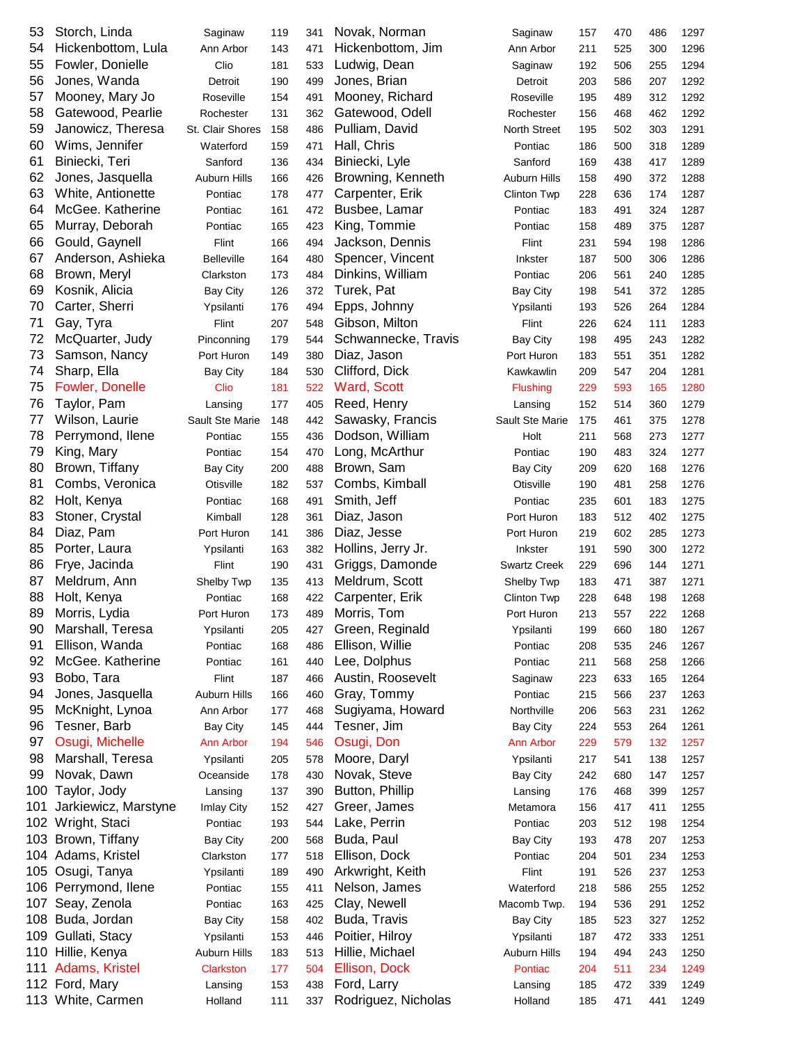| 53  | Storch, Linda        | Saginaw             | 119 | 341 | Novak, Norman       | Saginaw             | 157 | 470 | 486 | 1297 |
|-----|----------------------|---------------------|-----|-----|---------------------|---------------------|-----|-----|-----|------|
| 54  | Hickenbottom, Lula   | Ann Arbor           | 143 | 471 | Hickenbottom, Jim   | Ann Arbor           | 211 | 525 | 300 | 1296 |
| 55  | Fowler, Donielle     | Clio                | 181 | 533 | Ludwig, Dean        | Saginaw             | 192 | 506 | 255 | 1294 |
| 56  | Jones, Wanda         | Detroit             | 190 | 499 | Jones, Brian        | Detroit             | 203 | 586 | 207 | 1292 |
| 57  | Mooney, Mary Jo      | Roseville           | 154 | 491 | Mooney, Richard     | Roseville           | 195 | 489 | 312 | 1292 |
| 58  | Gatewood, Pearlie    | Rochester           | 131 | 362 | Gatewood, Odell     | Rochester           | 156 | 468 | 462 | 1292 |
| 59  | Janowicz, Theresa    | St. Clair Shores    | 158 | 486 | Pulliam, David      | North Street        | 195 | 502 | 303 | 1291 |
| 60  | Wims, Jennifer       | Waterford           | 159 | 471 | Hall, Chris         | Pontiac             | 186 | 500 | 318 | 1289 |
| 61  | Biniecki, Teri       | Sanford             | 136 | 434 | Biniecki, Lyle      | Sanford             | 169 | 438 | 417 | 1289 |
| 62  | Jones, Jasquella     | <b>Auburn Hills</b> | 166 | 426 | Browning, Kenneth   | Auburn Hills        | 158 | 490 | 372 | 1288 |
| 63  | White, Antionette    | Pontiac             | 178 | 477 | Carpenter, Erik     | Clinton Twp         | 228 | 636 | 174 | 1287 |
| 64  | McGee. Katherine     | Pontiac             | 161 | 472 | Busbee, Lamar       | Pontiac             | 183 | 491 | 324 | 1287 |
| 65  | Murray, Deborah      | Pontiac             | 165 | 423 | King, Tommie        | Pontiac             | 158 | 489 | 375 | 1287 |
| 66  | Gould, Gaynell       | Flint               | 166 | 494 | Jackson, Dennis     | Flint               | 231 | 594 | 198 | 1286 |
| 67  | Anderson, Ashieka    | <b>Belleville</b>   | 164 | 480 | Spencer, Vincent    | Inkster             | 187 | 500 | 306 | 1286 |
| 68  | Brown, Meryl         | Clarkston           | 173 | 484 | Dinkins, William    | Pontiac             | 206 | 561 | 240 | 1285 |
|     |                      |                     |     |     |                     |                     |     |     |     |      |
| 69  | Kosnik, Alicia       | <b>Bay City</b>     | 126 | 372 | Turek, Pat          | Bay City            | 198 | 541 | 372 | 1285 |
| 70  | Carter, Sherri       | Ypsilanti           | 176 | 494 | Epps, Johnny        | Ypsilanti           | 193 | 526 | 264 | 1284 |
| 71  | Gay, Tyra            | Flint               | 207 | 548 | Gibson, Milton      | Flint               | 226 | 624 | 111 | 1283 |
| 72  | McQuarter, Judy      | Pinconning          | 179 | 544 | Schwannecke, Travis | <b>Bay City</b>     | 198 | 495 | 243 | 1282 |
| 73  | Samson, Nancy        | Port Huron          | 149 | 380 | Diaz, Jason         | Port Huron          | 183 | 551 | 351 | 1282 |
| 74  | Sharp, Ella          | <b>Bay City</b>     | 184 | 530 | Clifford, Dick      | Kawkawlin           | 209 | 547 | 204 | 1281 |
| 75  | Fowler, Donelle      | Clio                | 181 | 522 | Ward, Scott         | <b>Flushing</b>     | 229 | 593 | 165 | 1280 |
| 76  | Taylor, Pam          | Lansing             | 177 | 405 | Reed, Henry         | Lansing             | 152 | 514 | 360 | 1279 |
| 77  | Wilson, Laurie       | Sault Ste Marie     | 148 | 442 | Sawasky, Francis    | Sault Ste Marie     | 175 | 461 | 375 | 1278 |
| 78  | Perrymond, Ilene     | Pontiac             | 155 | 436 | Dodson, William     | Holt                | 211 | 568 | 273 | 1277 |
| 79  | King, Mary           | Pontiac             | 154 | 470 | Long, McArthur      | Pontiac             | 190 | 483 | 324 | 1277 |
| 80  | Brown, Tiffany       | <b>Bay City</b>     | 200 | 488 | Brown, Sam          | Bay City            | 209 | 620 | 168 | 1276 |
| 81  | Combs, Veronica      | Otisville           | 182 | 537 | Combs, Kimball      | Otisville           | 190 | 481 | 258 | 1276 |
| 82  | Holt, Kenya          | Pontiac             | 168 | 491 | Smith, Jeff         | Pontiac             | 235 | 601 | 183 | 1275 |
| 83  | Stoner, Crystal      | Kimball             | 128 | 361 | Diaz, Jason         | Port Huron          | 183 | 512 | 402 | 1275 |
| 84  | Diaz, Pam            | Port Huron          | 141 | 386 | Diaz, Jesse         | Port Huron          | 219 | 602 | 285 | 1273 |
| 85  | Porter, Laura        | Ypsilanti           | 163 | 382 | Hollins, Jerry Jr.  | Inkster             | 191 | 590 | 300 | 1272 |
| 86  | Frye, Jacinda        | Flint               | 190 | 431 | Griggs, Damonde     | <b>Swartz Creek</b> | 229 | 696 | 144 | 1271 |
| 87  | Meldrum, Ann         | Shelby Twp          | 135 | 413 | Meldrum, Scott      | Shelby Twp          | 183 | 471 | 387 | 1271 |
| 88  | Holt, Kenya          | Pontiac             | 168 | 422 | Carpenter, Erik     | Clinton Twp         | 228 | 648 | 198 | 1268 |
| 89  | Morris, Lydia        | Port Huron          | 173 | 489 | Morris, Tom         | Port Huron          | 213 | 557 | 222 | 1268 |
| 90  | Marshall, Teresa     | Ypsilanti           | 205 | 427 | Green, Reginald     | Ypsilanti           | 199 | 660 | 180 | 1267 |
| 91  | Ellison, Wanda       | Pontiac             | 168 | 486 | Ellison, Willie     | Pontiac             | 208 | 535 | 246 | 1267 |
| 92  | McGee. Katherine     | Pontiac             | 161 | 440 | Lee, Dolphus        | Pontiac             | 211 | 568 | 258 | 1266 |
| 93  | Bobo, Tara           |                     |     |     | Austin, Roosevelt   |                     |     |     |     |      |
|     |                      | Flint               | 187 | 466 |                     | Saginaw             | 223 | 633 | 165 | 1264 |
| 94  | Jones, Jasquella     | Auburn Hills        | 166 | 460 | Gray, Tommy         | Pontiac             | 215 | 566 | 237 | 1263 |
| 95  | McKnight, Lynoa      | Ann Arbor           | 177 | 468 | Sugiyama, Howard    | Northville          | 206 | 563 | 231 | 1262 |
| 96  | Tesner, Barb         | <b>Bay City</b>     | 145 | 444 | Tesner, Jim         | <b>Bay City</b>     | 224 | 553 | 264 | 1261 |
| 97  | Osugi, Michelle      | <b>Ann Arbor</b>    | 194 | 546 | Osugi, Don          | <b>Ann Arbor</b>    | 229 | 579 | 132 | 1257 |
| 98  | Marshall, Teresa     | Ypsilanti           | 205 | 578 | Moore, Daryl        | Ypsilanti           | 217 | 541 | 138 | 1257 |
| 99  | Novak, Dawn          | Oceanside           | 178 | 430 | Novak, Steve        | <b>Bay City</b>     | 242 | 680 | 147 | 1257 |
| 100 | Taylor, Jody         | Lansing             | 137 | 390 | Button, Phillip     | Lansing             | 176 | 468 | 399 | 1257 |
| 101 | Jarkiewicz, Marstyne | Imlay City          | 152 | 427 | Greer, James        | Metamora            | 156 | 417 | 411 | 1255 |
| 102 | Wright, Staci        | Pontiac             | 193 | 544 | Lake, Perrin        | Pontiac             | 203 | 512 | 198 | 1254 |
| 103 | Brown, Tiffany       | <b>Bay City</b>     | 200 | 568 | Buda, Paul          | <b>Bay City</b>     | 193 | 478 | 207 | 1253 |
| 104 | Adams, Kristel       | Clarkston           | 177 | 518 | Ellison, Dock       | Pontiac             | 204 | 501 | 234 | 1253 |
| 105 | Osugi, Tanya         | Ypsilanti           | 189 | 490 | Arkwright, Keith    | Flint               | 191 | 526 | 237 | 1253 |
| 106 | Perrymond, Ilene     | Pontiac             | 155 | 411 | Nelson, James       | Waterford           | 218 | 586 | 255 | 1252 |
| 107 | Seay, Zenola         | Pontiac             | 163 | 425 | Clay, Newell        | Macomb Twp.         | 194 | 536 | 291 | 1252 |
| 108 | Buda, Jordan         | <b>Bay City</b>     | 158 | 402 | Buda, Travis        | <b>Bay City</b>     | 185 | 523 | 327 | 1252 |
| 109 | Gullati, Stacy       | Ypsilanti           | 153 | 446 | Poitier, Hilroy     | Ypsilanti           | 187 | 472 | 333 | 1251 |
|     | 110 Hillie, Kenya    | Auburn Hills        | 183 | 513 | Hillie, Michael     | Auburn Hills        | 194 | 494 | 243 | 1250 |
| 111 | Adams, Kristel       | Clarkston           | 177 | 504 | Ellison, Dock       | Pontiac             | 204 | 511 | 234 | 1249 |
|     | 112 Ford, Mary       | Lansing             | 153 | 438 | Ford, Larry         | Lansing             | 185 | 472 | 339 | 1249 |
|     | 113 White, Carmen    | Holland             | 111 | 337 | Rodriguez, Nicholas | Holland             | 185 | 471 | 441 | 1249 |
|     |                      |                     |     |     |                     |                     |     |     |     |      |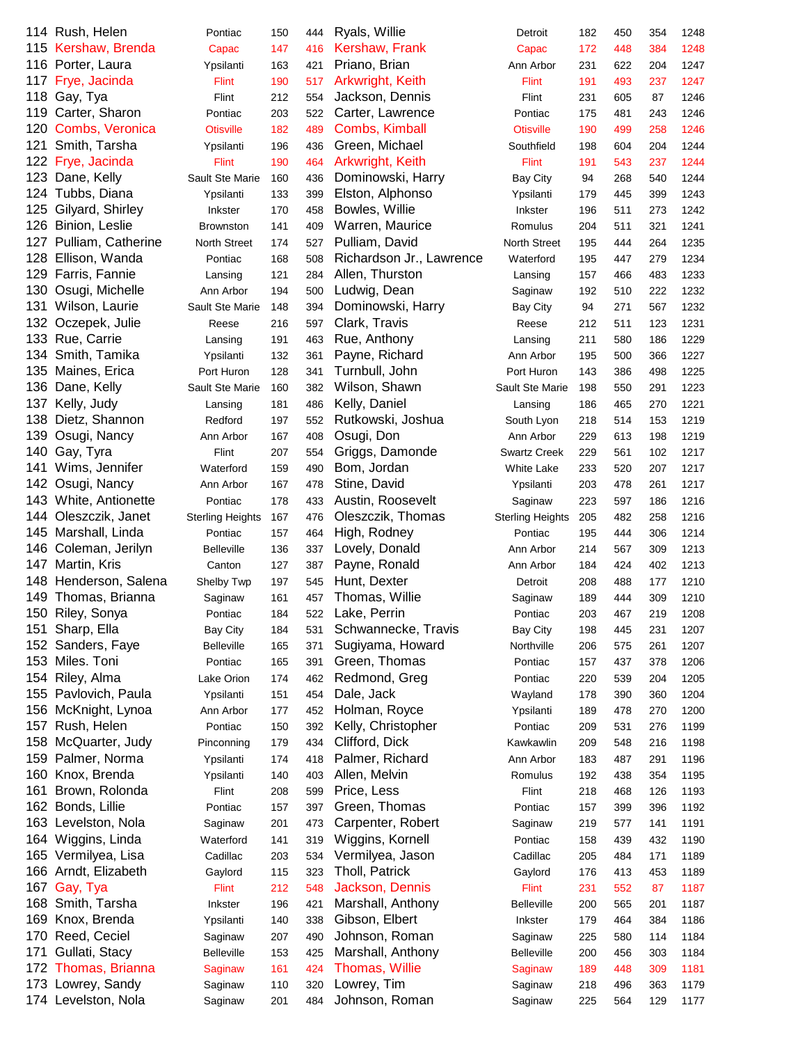|     | 114 Rush, Helen       | Pontiac                 | 150 | 444 | Ryals, Willie            | Detroit                 | 182 | 450 | 354 | 1248 |
|-----|-----------------------|-------------------------|-----|-----|--------------------------|-------------------------|-----|-----|-----|------|
|     | 115 Kershaw, Brenda   | Capac                   | 147 | 416 | Kershaw, Frank           | Capac                   | 172 | 448 | 384 | 1248 |
| 116 | Porter, Laura         | Ypsilanti               | 163 | 421 | Priano, Brian            | Ann Arbor               | 231 | 622 | 204 | 1247 |
| 117 | Frye, Jacinda         | <b>Flint</b>            | 190 | 517 | Arkwright, Keith         | <b>Flint</b>            | 191 | 493 | 237 | 1247 |
| 118 | Gay, Tya              | Flint                   | 212 | 554 | Jackson, Dennis          | Flint                   | 231 | 605 | 87  | 1246 |
| 119 | Carter, Sharon        | Pontiac                 | 203 | 522 | Carter, Lawrence         | Pontiac                 | 175 | 481 | 243 | 1246 |
| 120 | Combs, Veronica       | <b>Otisville</b>        | 182 | 489 | Combs, Kimball           | <b>Otisville</b>        | 190 | 499 | 258 | 1246 |
| 121 | Smith, Tarsha         | Ypsilanti               | 196 | 436 | Green, Michael           | Southfield              | 198 | 604 | 204 | 1244 |
| 122 | Frye, Jacinda         | Flint                   | 190 | 464 | Arkwright, Keith         | <b>Flint</b>            | 191 | 543 | 237 | 1244 |
|     | 123 Dane, Kelly       | Sault Ste Marie         | 160 | 436 | Dominowski, Harry        | <b>Bay City</b>         | 94  | 268 | 540 | 1244 |
| 124 | Tubbs, Diana          | Ypsilanti               | 133 | 399 | Elston, Alphonso         | Ypsilanti               | 179 | 445 | 399 | 1243 |
| 125 | Gilyard, Shirley      | Inkster                 | 170 | 458 | Bowles, Willie           | Inkster                 | 196 | 511 | 273 | 1242 |
| 126 | Binion, Leslie        | <b>Brownston</b>        | 141 | 409 | Warren, Maurice          | Romulus                 | 204 | 511 | 321 | 1241 |
| 127 | Pulliam, Catherine    | <b>North Street</b>     | 174 | 527 | Pulliam, David           | North Street            | 195 | 444 | 264 | 1235 |
| 128 | Ellison, Wanda        | Pontiac                 | 168 | 508 | Richardson Jr., Lawrence | Waterford               | 195 | 447 | 279 | 1234 |
| 129 | Farris, Fannie        |                         |     |     | Allen, Thurston          |                         |     |     |     |      |
|     |                       | Lansing                 | 121 | 284 |                          | Lansing                 | 157 | 466 | 483 | 1233 |
| 130 | Osugi, Michelle       | Ann Arbor               | 194 | 500 | Ludwig, Dean             | Saginaw                 | 192 | 510 | 222 | 1232 |
| 131 | Wilson, Laurie        | Sault Ste Marie         | 148 | 394 | Dominowski, Harry        | <b>Bay City</b>         | 94  | 271 | 567 | 1232 |
| 132 | Oczepek, Julie        | Reese                   | 216 | 597 | Clark, Travis            | Reese                   | 212 | 511 | 123 | 1231 |
| 133 | Rue, Carrie           | Lansing                 | 191 | 463 | Rue, Anthony             | Lansing                 | 211 | 580 | 186 | 1229 |
| 134 | Smith, Tamika         | Ypsilanti               | 132 | 361 | Payne, Richard           | Ann Arbor               | 195 | 500 | 366 | 1227 |
| 135 | Maines, Erica         | Port Huron              | 128 | 341 | Turnbull, John           | Port Huron              | 143 | 386 | 498 | 1225 |
| 136 | Dane, Kelly           | Sault Ste Marie         | 160 | 382 | Wilson, Shawn            | Sault Ste Marie         | 198 | 550 | 291 | 1223 |
| 137 | Kelly, Judy           | Lansing                 | 181 | 486 | Kelly, Daniel            | Lansing                 | 186 | 465 | 270 | 1221 |
| 138 | Dietz, Shannon        | Redford                 | 197 | 552 | Rutkowski, Joshua        | South Lyon              | 218 | 514 | 153 | 1219 |
| 139 | Osugi, Nancy          | Ann Arbor               | 167 | 408 | Osugi, Don               | Ann Arbor               | 229 | 613 | 198 | 1219 |
| 140 | Gay, Tyra             | Flint                   | 207 | 554 | Griggs, Damonde          | <b>Swartz Creek</b>     | 229 | 561 | 102 | 1217 |
| 141 | Wims, Jennifer        | Waterford               | 159 | 490 | Bom, Jordan              | White Lake              | 233 | 520 | 207 | 1217 |
| 142 | Osugi, Nancy          | Ann Arbor               | 167 | 478 | Stine, David             | Ypsilanti               | 203 | 478 | 261 | 1217 |
|     | 143 White, Antionette | Pontiac                 | 178 | 433 | Austin, Roosevelt        | Saginaw                 | 223 | 597 | 186 | 1216 |
| 144 | Oleszczik, Janet      | <b>Sterling Heights</b> | 167 | 476 | Oleszczik, Thomas        | <b>Sterling Heights</b> | 205 | 482 | 258 | 1216 |
| 145 | Marshall, Linda       | Pontiac                 | 157 | 464 | High, Rodney             | Pontiac                 | 195 | 444 | 306 | 1214 |
| 146 | Coleman, Jerilyn      | <b>Belleville</b>       | 136 | 337 | Lovely, Donald           | Ann Arbor               | 214 | 567 | 309 | 1213 |
| 147 | Martin, Kris          | Canton                  | 127 | 387 | Payne, Ronald            | Ann Arbor               | 184 | 424 | 402 | 1213 |
| 148 | Henderson, Salena     | Shelby Twp              | 197 | 545 | Hunt, Dexter             | Detroit                 | 208 | 488 | 177 | 1210 |
| 149 | Thomas, Brianna       | Saginaw                 | 161 | 457 | Thomas, Willie           | Saginaw                 | 189 | 444 | 309 | 1210 |
|     | 150 Riley, Sonya      | Pontiac                 | 184 | 522 | Lake, Perrin             | Pontiac                 | 203 | 467 | 219 | 1208 |
|     | 151 Sharp, Ella       | <b>Bay City</b>         | 184 | 531 | Schwannecke, Travis      | <b>Bay City</b>         | 198 | 445 | 231 | 1207 |
|     | 152 Sanders, Faye     | <b>Belleville</b>       | 165 | 371 | Sugiyama, Howard         | Northville              | 206 | 575 | 261 | 1207 |
| 153 | Miles. Toni           | Pontiac                 | 165 | 391 | Green, Thomas            | Pontiac                 | 157 | 437 | 378 | 1206 |
|     | 154 Riley, Alma       | Lake Orion              | 174 | 462 | Redmond, Greg            | Pontiac                 | 220 | 539 | 204 | 1205 |
| 155 | Pavlovich, Paula      | Ypsilanti               | 151 | 454 | Dale, Jack               | Wayland                 | 178 | 390 | 360 | 1204 |
| 156 | McKnight, Lynoa       | Ann Arbor               | 177 | 452 | Holman, Royce            | Ypsilanti               | 189 | 478 | 270 | 1200 |
| 157 | Rush, Helen           | Pontiac                 | 150 | 392 | Kelly, Christopher       | Pontiac                 | 209 | 531 | 276 | 1199 |
| 158 | McQuarter, Judy       | Pinconning              | 179 | 434 | Clifford, Dick           | Kawkawlin               | 209 | 548 | 216 | 1198 |
| 159 | Palmer, Norma         | Ypsilanti               | 174 | 418 | Palmer, Richard          | Ann Arbor               | 183 | 487 | 291 | 1196 |
| 160 | Knox, Brenda          |                         |     |     |                          |                         |     |     |     |      |
|     |                       | Ypsilanti               | 140 | 403 | Allen, Melvin            | Romulus                 | 192 | 438 | 354 | 1195 |
| 161 | Brown, Rolonda        | Flint                   | 208 | 599 | Price, Less              | Flint                   | 218 | 468 | 126 | 1193 |
|     | 162 Bonds, Lillie     | Pontiac                 | 157 | 397 | Green, Thomas            | Pontiac                 | 157 | 399 | 396 | 1192 |
|     | 163 Levelston, Nola   | Saginaw                 | 201 | 473 | Carpenter, Robert        | Saginaw                 | 219 | 577 | 141 | 1191 |
|     | 164 Wiggins, Linda    | Waterford               | 141 | 319 | Wiggins, Kornell         | Pontiac                 | 158 | 439 | 432 | 1190 |
|     | 165 Vermilyea, Lisa   | Cadillac                | 203 | 534 | Vermilyea, Jason         | Cadillac                | 205 | 484 | 171 | 1189 |
|     | 166 Arndt, Elizabeth  | Gaylord                 | 115 | 323 | Tholl, Patrick           | Gaylord                 | 176 | 413 | 453 | 1189 |
| 167 | Gay, Tya              | <b>Flint</b>            | 212 | 548 | Jackson, Dennis          | <b>Flint</b>            | 231 | 552 | 87  | 1187 |
|     | 168 Smith, Tarsha     | Inkster                 | 196 | 421 | Marshall, Anthony        | <b>Belleville</b>       | 200 | 565 | 201 | 1187 |
| 169 | Knox, Brenda          | Ypsilanti               | 140 | 338 | Gibson, Elbert           | Inkster                 | 179 | 464 | 384 | 1186 |
| 170 | Reed, Ceciel          | Saginaw                 | 207 | 490 | Johnson, Roman           | Saginaw                 | 225 | 580 | 114 | 1184 |
| 171 | Gullati, Stacy        | <b>Belleville</b>       | 153 | 425 | Marshall, Anthony        | <b>Belleville</b>       | 200 | 456 | 303 | 1184 |
|     | 172 Thomas, Brianna   | Saginaw                 | 161 | 424 | Thomas, Willie           | Saginaw                 | 189 | 448 | 309 | 1181 |
|     | 173 Lowrey, Sandy     | Saginaw                 | 110 | 320 | Lowrey, Tim              | Saginaw                 | 218 | 496 | 363 | 1179 |
|     | 174 Levelston, Nola   | Saginaw                 | 201 | 484 | Johnson, Roman           | Saginaw                 | 225 | 564 | 129 | 1177 |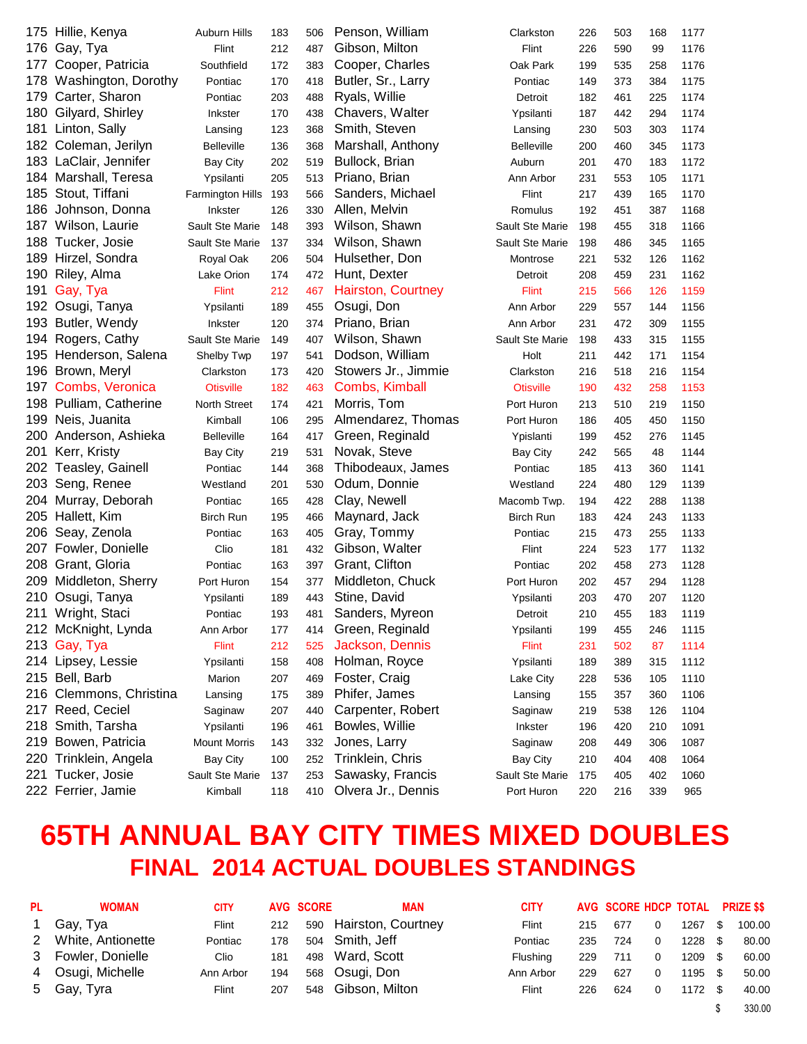|     | 175 Hillie, Kenya       | Auburn Hills        | 183 | 506 | Penson, William     | Clarkston         | 226 | 503 | 168 | 1177 |
|-----|-------------------------|---------------------|-----|-----|---------------------|-------------------|-----|-----|-----|------|
| 176 | Gay, Tya                | Flint               | 212 | 487 | Gibson, Milton      | Flint             | 226 | 590 | 99  | 1176 |
| 177 | Cooper, Patricia        | Southfield          | 172 | 383 | Cooper, Charles     | Oak Park          | 199 | 535 | 258 | 1176 |
|     | 178 Washington, Dorothy | Pontiac             | 170 | 418 | Butler, Sr., Larry  | Pontiac           | 149 | 373 | 384 | 1175 |
| 179 | Carter, Sharon          | Pontiac             | 203 | 488 | Ryals, Willie       | Detroit           | 182 | 461 | 225 | 1174 |
| 180 | Gilyard, Shirley        | Inkster             | 170 | 438 | Chavers, Walter     | Ypsilanti         | 187 | 442 | 294 | 1174 |
| 181 | Linton, Sally           | Lansing             | 123 | 368 | Smith, Steven       | Lansing           | 230 | 503 | 303 | 1174 |
| 182 | Coleman, Jerilyn        | <b>Belleville</b>   | 136 | 368 | Marshall, Anthony   | <b>Belleville</b> | 200 | 460 | 345 | 1173 |
|     | 183 LaClair, Jennifer   | Bay City            | 202 | 519 | Bullock, Brian      | Auburn            | 201 | 470 | 183 | 1172 |
|     | 184 Marshall, Teresa    | Ypsilanti           | 205 | 513 | Priano, Brian       | Ann Arbor         | 231 | 553 | 105 | 1171 |
| 185 | Stout, Tiffani          | Farmington Hills    | 193 | 566 | Sanders, Michael    | Flint             | 217 | 439 | 165 | 1170 |
| 186 | Johnson, Donna          | Inkster             | 126 | 330 | Allen, Melvin       | Romulus           | 192 | 451 | 387 | 1168 |
|     | 187 Wilson, Laurie      | Sault Ste Marie     | 148 | 393 | Wilson, Shawn       | Sault Ste Marie   | 198 | 455 | 318 | 1166 |
|     | 188 Tucker, Josie       | Sault Ste Marie     | 137 | 334 | Wilson, Shawn       | Sault Ste Marie   | 198 | 486 | 345 | 1165 |
|     | 189 Hirzel, Sondra      | Royal Oak           | 206 | 504 | Hulsether, Don      | Montrose          | 221 | 532 | 126 | 1162 |
| 190 | Riley, Alma             | Lake Orion          | 174 | 472 | Hunt, Dexter        | Detroit           | 208 | 459 | 231 | 1162 |
| 191 | Gay, Tya                | <b>Flint</b>        | 212 | 467 | Hairston, Courtney  | <b>Flint</b>      | 215 | 566 | 126 | 1159 |
|     | 192 Osugi, Tanya        | Ypsilanti           | 189 | 455 | Osugi, Don          | Ann Arbor         | 229 | 557 | 144 | 1156 |
|     | 193 Butler, Wendy       | <b>Inkster</b>      | 120 | 374 | Priano, Brian       | Ann Arbor         | 231 | 472 | 309 | 1155 |
|     | 194 Rogers, Cathy       | Sault Ste Marie     | 149 | 407 | Wilson, Shawn       | Sault Ste Marie   | 198 | 433 | 315 | 1155 |
|     | 195 Henderson, Salena   | Shelby Twp          | 197 | 541 | Dodson, William     | Holt              | 211 | 442 | 171 | 1154 |
|     | 196 Brown, Meryl        | Clarkston           | 173 | 420 | Stowers Jr., Jimmie | Clarkston         | 216 | 518 | 216 | 1154 |
|     | 197 Combs, Veronica     | <b>Otisville</b>    | 182 | 463 | Combs, Kimball      | <b>Otisville</b>  | 190 | 432 | 258 | 1153 |
|     | 198 Pulliam, Catherine  | North Street        | 174 | 421 | Morris, Tom         | Port Huron        | 213 | 510 | 219 | 1150 |
| 199 | Neis, Juanita           | Kimball             | 106 | 295 | Almendarez, Thomas  | Port Huron        | 186 | 405 | 450 | 1150 |
| 200 | Anderson, Ashieka       | <b>Belleville</b>   | 164 | 417 | Green, Reginald     | Ypislanti         | 199 | 452 | 276 | 1145 |
| 201 | Kerr, Kristy            | Bay City            | 219 | 531 | Novak, Steve        | <b>Bay City</b>   | 242 | 565 | 48  | 1144 |
| 202 | <b>Teasley, Gainell</b> | Pontiac             | 144 | 368 | Thibodeaux, James   | Pontiac           | 185 | 413 | 360 | 1141 |
| 203 | Seng, Renee             | Westland            | 201 | 530 | Odum, Donnie        | Westland          | 224 | 480 | 129 | 1139 |
| 204 | Murray, Deborah         | Pontiac             | 165 | 428 | Clay, Newell        | Macomb Twp.       | 194 | 422 | 288 | 1138 |
| 205 | Hallett, Kim            | Birch Run           | 195 | 466 | Maynard, Jack       | Birch Run         | 183 | 424 | 243 | 1133 |
| 206 | Seay, Zenola            | Pontiac             | 163 | 405 | Gray, Tommy         | Pontiac           | 215 | 473 | 255 | 1133 |
|     | 207 Fowler, Donielle    | Clio                | 181 | 432 | Gibson, Walter      | Flint             | 224 | 523 | 177 | 1132 |
| 208 | Grant, Gloria           | Pontiac             | 163 | 397 | Grant, Clifton      | Pontiac           | 202 | 458 | 273 | 1128 |
| 209 | Middleton, Sherry       | Port Huron          | 154 | 377 | Middleton, Chuck    | Port Huron        | 202 | 457 | 294 | 1128 |
|     | 210 Osugi, Tanya        | Ypsilanti           | 189 | 443 | Stine, David        | Ypsilanti         | 203 | 470 | 207 | 1120 |
|     | 211 Wright, Staci       | Pontiac             | 193 | 481 | Sanders, Myreon     | Detroit           | 210 | 455 | 183 | 1119 |
|     | 212 McKnight, Lynda     | Ann Arbor           | 177 | 414 | Green, Reginald     | Ypsilanti         | 199 | 455 | 246 | 1115 |
|     | 213 Gay, Tya            | Flint               | 212 | 525 | Jackson, Dennis     | Flint             | 231 | 502 | 87  | 1114 |
|     | 214 Lipsey, Lessie      | Ypsilanti           | 158 | 408 | Holman, Royce       | Ypsilanti         | 189 | 389 | 315 | 1112 |
|     | 215 Bell, Barb          | Marion              | 207 | 469 | Foster, Craig       | Lake City         | 228 | 536 | 105 | 1110 |
|     | 216 Clemmons, Christina | Lansing             | 175 | 389 | Phifer, James       | Lansing           | 155 | 357 | 360 | 1106 |
|     | 217 Reed, Ceciel        | Saginaw             | 207 | 440 | Carpenter, Robert   | Saginaw           | 219 | 538 | 126 | 1104 |
| 218 | Smith, Tarsha           | Ypsilanti           | 196 | 461 | Bowles, Willie      | Inkster           | 196 | 420 | 210 | 1091 |
| 219 | Bowen, Patricia         | <b>Mount Morris</b> | 143 | 332 | Jones, Larry        | Saginaw           | 208 | 449 | 306 | 1087 |
|     | 220 Trinklein, Angela   | <b>Bay City</b>     | 100 | 252 | Trinklein, Chris    | <b>Bay City</b>   | 210 | 404 | 408 | 1064 |
|     | 221 Tucker, Josie       | Sault Ste Marie     | 137 | 253 | Sawasky, Francis    | Sault Ste Marie   | 175 | 405 | 402 | 1060 |
|     | 222 Ferrier, Jamie      | Kimball             | 118 | 410 | Olvera Jr., Dennis  | Port Huron        | 220 | 216 | 339 | 965  |

## **65TH ANNUAL BAY CITY TIMES MIXED DOUBLES FINAL 2014 ACTUAL DOUBLES STANDINGS**

| <b>PL</b>   | <b>WOMAN</b>        | <b>CITY</b> |     | <b>AVG SCORE</b> | <b>MAN</b>             | <b>CITY</b> |     | AVG SCORE HDCP TOTAL PRIZE \$\$ |   |         |      |        |
|-------------|---------------------|-------------|-----|------------------|------------------------|-------------|-----|---------------------------------|---|---------|------|--------|
| $\mathbf 1$ | Gay, Tya            | Flint       | 212 |                  | 590 Hairston, Courtney | Flint       | 215 | 677                             | 0 | 1267    | - \$ | 100.00 |
|             | 2 White, Antionette | Pontiac     | 178 |                  | 504 Smith, Jeff        | Pontiac     | 235 | 724                             | 0 | 1228 \$ |      | 80.00  |
|             | 3 Fowler, Donielle  | Clio        | 181 |                  | 498 Ward, Scott        | Flushing    | 229 | 711                             | 0 | 1209 \$ |      | 60.00  |
|             | 4 Osugi, Michelle   | Ann Arbor   | 194 |                  | 568 Osugi, Don         | Ann Arbor   | 229 | 627                             |   | 1195 \$ |      | 50.00  |
|             | 5 Gay, Tyra         | Flint       | 207 |                  | 548 Gibson, Milton     | Flint       | 226 | 624                             |   | 1172 \$ |      | 40.00  |